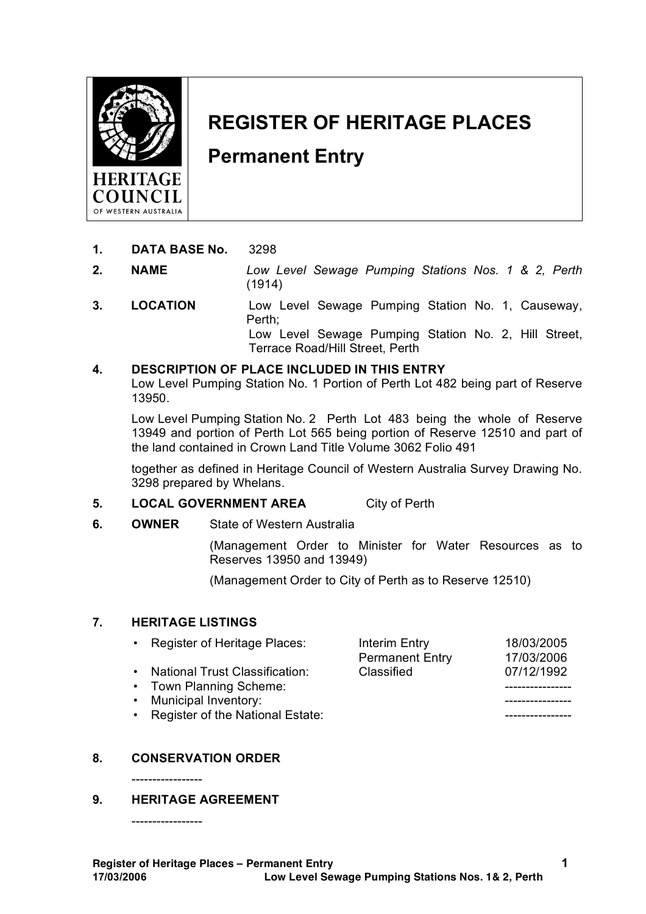

# **REGISTER OF HERITAGE PLACES**

# **Permanent Entry**

- **1. DATA BASE No.** 3298
- **2. NAME** *Low Level Sewage Pumping Stations Nos. 1 & 2, Perth* (1914)
- **3. LOCATION** Low Level Sewage Pumping Station No. 1, Causeway, Perth; Low Level Sewage Pumping Station No. 2, Hill Street, Terrace Road/Hill Street, Perth

# **4. DESCRIPTION OF PLACE INCLUDED IN THIS ENTRY**

Low Level Pumping Station No. 1 Portion of Perth Lot 482 being part of Reserve 13950.

Low Level Pumping Station No. 2 Perth Lot 483 being the whole of Reserve 13949 and portion of Perth Lot 565 being portion of Reserve 12510 and part of the land contained in Crown Land Title Volume 3062 Folio 491

together as defined in Heritage Council of Western Australia Survey Drawing No. 3298 prepared by Whelans.

# **5. LOCAL GOVERNMENT AREA** City of Perth

#### **6. OWNER** State of Western Australia

(Management Order to Minister for Water Resources as to Reserves 13950 and 13949)

(Management Order to City of Perth as to Reserve 12510)

#### **7. HERITAGE LISTINGS**

| Interim Entry          | 18/03/2005 |
|------------------------|------------|
| <b>Permanent Entry</b> | 17/03/2006 |
| Classified             | 07/12/1992 |
|                        |            |
|                        |            |
|                        |            |
|                        |            |

# **8. CONSERVATION ORDER**

# **9. HERITAGE AGREEMENT**

-----------------

-----------------